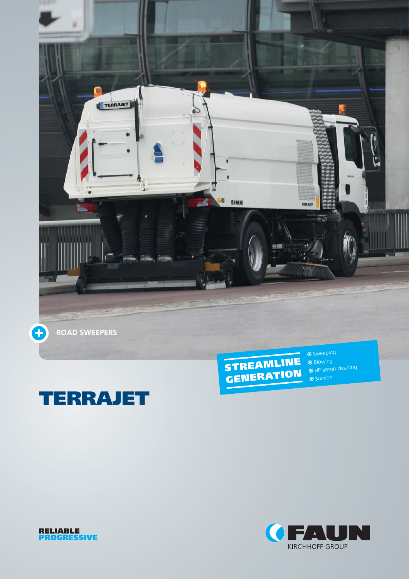





⊕ Suction



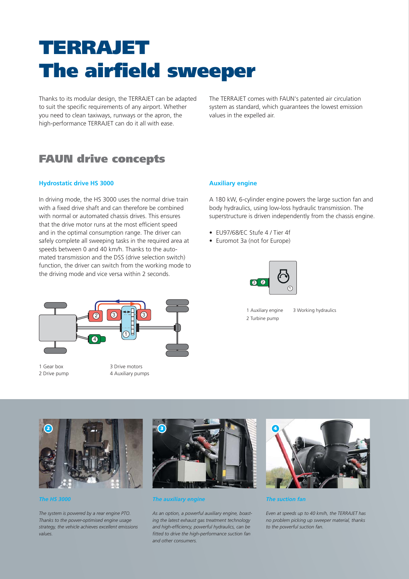# **TERRAJET The airfield sweeper**

Thanks to its modular design, the TERRAJET can be adapted to suit the specific requirements of any airport. Whether you need to clean taxiways, runways or the apron, the high-performance TERRAJET can do it all with ease.

The TERRAJET comes with FAUN's patented air circulation system as standard, which guarantees the lowest emission values in the expelled air.

## **FAUN drive concepts**

#### **Hydrostatic drive HS 3000**

In driving mode, the HS 3000 uses the normal drive train with a fixed drive shaft and can therefore be combined with normal or automated chassis drives. This ensures that the drive motor runs at the most efficient speed and in the optimal consumption range. The driver can safely complete all sweeping tasks in the required area at speeds between 0 and 40 km/h. Thanks to the automated transmission and the DSS (drive selection switch) function, the driver can switch from the working mode to the driving mode and vice versa within 2 seconds.



1 Gear box 2 Drive pump

3 Drive motors 4 Auxiliary pumps

#### **Auxiliary engine**

A 180 kW, 6-cylinder engine powers the large suction fan and body hydraulics, using low-loss hydraulic transmission. The superstructure is driven independently from the chassis engine.

- ELI97/68/EC Stufe 4 / Tier 4f
- Euromot 3a (not for Europe)



1 Auxiliary engine 2 Turbine pump





#### *The auxiliary engine*

*As an option, a powerful auxiliary engine, boasting the latest exhaust gas treatment technology and high-efficiency, powerful hydraulics, can be fitted to drive the high-performance suction fan and other consumers.*



*The suction fan*

*Even at speeds up to 40 km/h, the TERRAJET has no problem picking up sweeper material, thanks to the powerful suction fan.* 

### *The HS 3000*

*The system is powered by a rear engine PTO. Thanks to the power-optimised engine usage strategy, the vehicle achieves excellent emissions values.*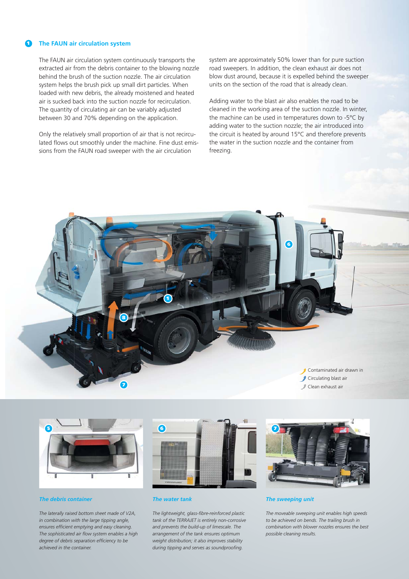#### **1 The FAUN air circulation system**

The FAUN air circulation system continuously transports the extracted air from the debris container to the blowing nozzle behind the brush of the suction nozzle. The air circulation system helps the brush pick up small dirt particles. When loaded with new debris, the already moistened and heated air is sucked back into the suction nozzle for recirculation. The quantity of circulating air can be variably adjusted between 30 and 70% depending on the application.

Only the relatively small proportion of air that is not recirculated flows out smoothly under the machine. Fine dust emissions from the FAUN road sweeper with the air circulation

system are approximately 50% lower than for pure suction road sweepers. In addition, the clean exhaust air does not blow dust around, because it is expelled behind the sweeper units on the section of the road that is already clean.

Adding water to the blast air also enables the road to be cleaned in the working area of the suction nozzle. In winter, the machine can be used in temperatures down to -5°C by adding water to the suction nozzle; the air introduced into the circuit is heated by around 15°C and therefore prevents the water in the suction nozzle and the container from freezing.





#### *The debris container*

*The laterally raised bottom sheet made of V2A, in combination with the large tipping angle, ensures efficient emptying and easy cleaning. The sophisticated air flow system enables a high degree of debris separation efficiency to be achieved in the container.*



#### *The water tank*

*The lightweight, glass-fibre-reinforced plastic tank of the TERRAJET is entirely non-corrosive and prevents the build-up of limescale. The arrangement of the tank ensures optimum weight distribution; it also improves stability during tipping and serves as soundproofing.*



#### *The sweeping unit*

*The moveable sweeping unit enables high speeds to be achieved on bends. The trailing brush in combination with blower nozzles ensures the best possible cleaning results.*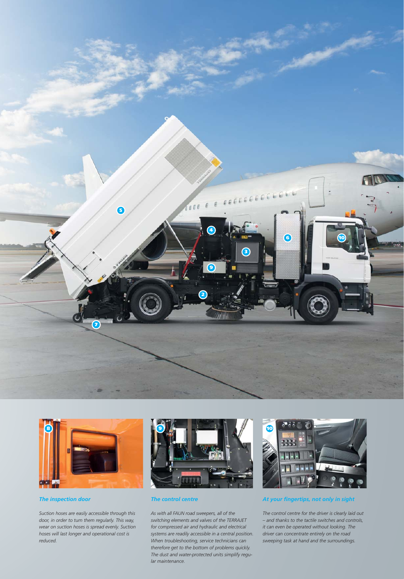





*Suction hoses are easily accessible through this door, in order to turn them regularly. This way, wear on suction hoses is spread evenly. Suction hoses will last longer and operational cost is reduced.* 

#### *The control centre*

*As with all FAUN road sweepers, all of the switching elements and valves of the TERRAJET for compressed air and hydraulic and electrical systems are readily accessible in a central position. When troubleshooting, service technicians can therefore get to the bottom of problems quickly. The dust and water-protected units simplify regular maintenance.*



*At your fingertips, not only in sight*

*The control centre for the driver is clearly laid out – and thanks to the tactile switches and controls, it can even be operated without looking. The driver can concentrate entirely on the road sweeping task at hand and the surroundings.*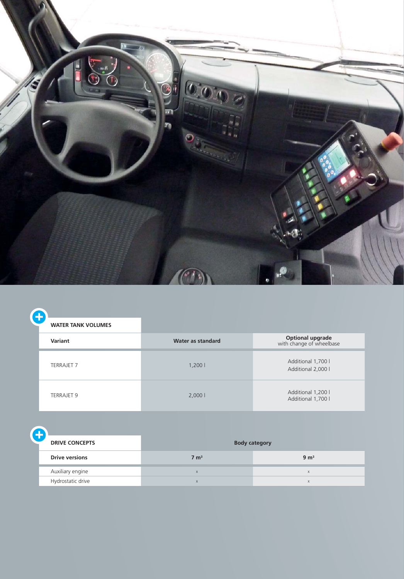

| <b>WATER TANK VOLUMES</b> |                   |                                                     |
|---------------------------|-------------------|-----------------------------------------------------|
| Variant                   | Water as standard | <b>Optional upgrade</b><br>with change of wheelbase |
| <b>TERRAJET 7</b>         | 1,2001            | Additional 1,700 l<br>Additional 2,000 l            |
| <b>TERRAJET 9</b>         | 2,0001            | Additional 1,200 l<br>Additional 1,700 l            |

A **DRIVE CONCEPTS Body category Drive versions** 9 m<sup>3</sup> Auxiliary engine x x Hydrostatic drive x x